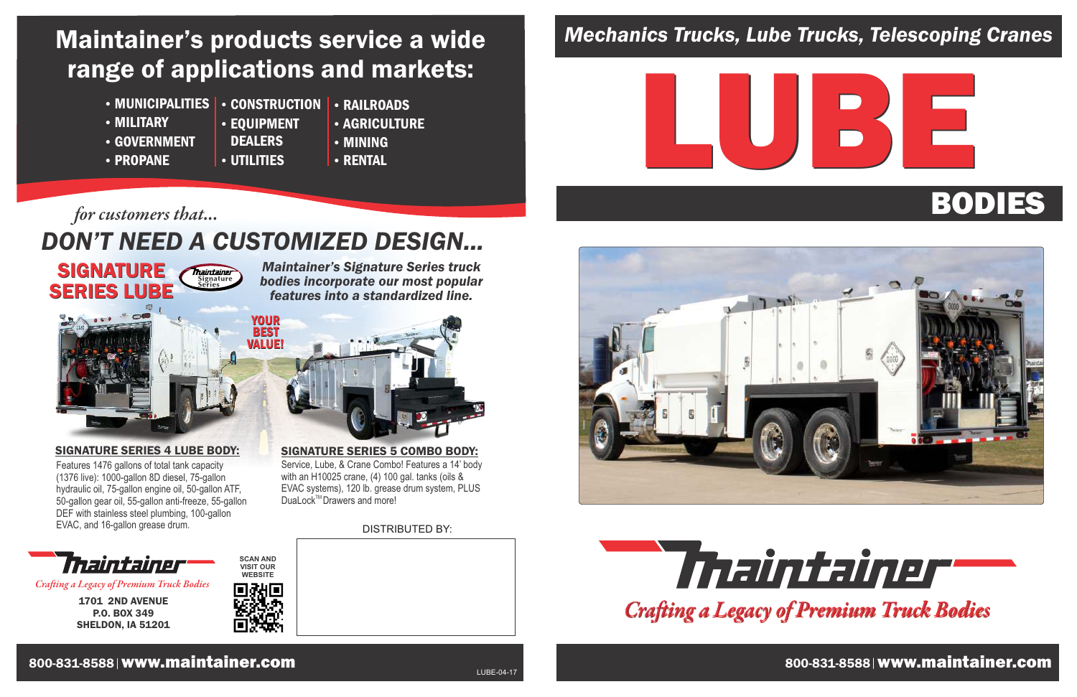## *Mechanics Trucks, Lube Trucks, Telescoping Cranes*



800-831-8588 www.maintainer.com





1701 2ND AVENUE P.O. BOX 349 SHELDON, IA 51201



*Craing a Legacy of Premium Truck Bodies*

#### 800-831-8588 www.maintainer.com 800-831-8588 www.maintainer.com

*Maintainer's Signature Series truck bodies incorporate our most popular features into a standardized line.*

## *DON'T NEED A CUSTOMIZED DESIGN...*

## Maintainer's products service a wide range of applications and markets:

• MUNICIPALITIES • CONSTRUCTION

Thaintainer Signature<br>Series

- MILITARY
- GOVERNMENT
- **DEALERS**
- PROPANE
- 

**SCAN AND VISIT OUR WEBSITE** DISTRIBUTED BY:

DuaLock<sup>™</sup>Drawers and more!

- UTILITIES
- **AGRICULTURE** MINING

**• RAILROADS** 

**• RENTAL** 

EQUIPMENT

#### SIGNATURE SERIES 4 LUBE BODY:

Service, Lube, & Crane Combo! Features a 14' body with an H10025 crane, (4) 100 gal. tanks (oils & EVAC systems), 120 lb. grease drum system, PLUS

SIGNATURE SERIES 5 COMBO BODY:

#### *for customers that...*

**SIGNATURE** 

SERIES LUBE



Features 1476 gallons of total tank capacity (1376 live): 1000-gallon 8D diesel, 75-gallon hydraulic oil, 75-gallon engine oil, 50-gallon ATF, 50-gallon gear oil, 55-gallon anti-freeze, 55-gallon DEF with stainless steel plumbing, 100-gallon EVAC, and 16-gallon grease drum.